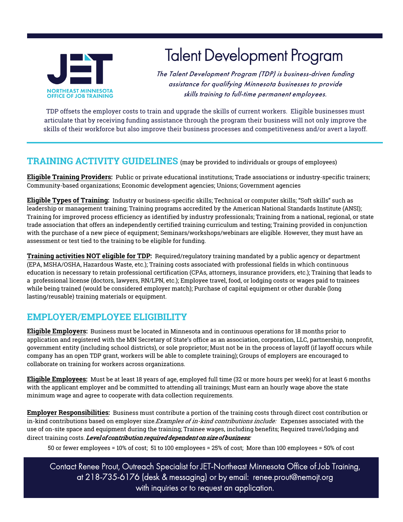

# Talent Development Program

The Talent Development Program (TDP) is business-driven funding assistance for qualifying Minnesota businesses to provide skills training to full-time permanent employees.

TDP offsets the employer costs to train and upgrade the skills of current workers. Eligible businesses must articulate that by receiving funding assistance through the program their business will not only improve the skills of their workforce but also improve their business processes and competitiveness and/or avert a layoff.

#### **TRAINING ACTIVITY GUIDELINES** (may be provided to individuals or groups of employees)

**Eligible Training Providers:** Public or private educational institutions; Trade associations or industry-specific trainers; Community-based organizations; Economic development agencies; Unions; Government agencies

**Eligible Types of Training:** Industry or business-specific skills; Technical or computer skills; "Soft skills" such as leadership or management training; Training programs accredited by the American National Standards Institute (ANSI); Training for improved process efficiency as identified by industry professionals; Training from a national, regional, or state trade association that offers an independently certified training curriculum and testing; Training provided in conjunction with the purchase of a new piece of equipment; Seminars/workshops/webinars are eligible. However, they must have an assessment or test tied to the training to be eligible for funding.

**Training activities NOT eligible for TDP:** Required/regulatory training mandated by a public agency or department (EPA, MSHA/OSHA, Hazardous Waste, etc.); Training costs associated with professional fields in which continuous education is necessary to retain professional certification (CPAs, attorneys, insurance providers, etc.); Training that leads to a professional license (doctors, lawyers, RN/LPN, etc.); Employee travel, food, or lodging costs or wages paid to trainees while being trained (would be considered employer match); Purchase of capital equipment or other durable (long lasting/reusable) training materials or equipment.

### **EMPLOYER/EMPLOYEE ELIGIBILITY**

**Eligible Employers:** Business must be located in Minnesota and in continuous operations for 18 months prior to application and registered with the MN Secretary of State's office as an association, corporation, LLC, partnership, nonprofit, government entity (including school districts), or sole proprietor; Must not be in the process of layoff (if layoff occurs while company has an open TDP grant, workers will be able to complete training); Groups of employers are encouraged to collaborate on training for workers across organizations.

**Eligible Employees:** Must be at least 18 years of age, employed full time (32 or more hours per week) for at least 6 months with the applicant employer and be committed to attending all trainings; Must earn an hourly wage above the state minimum wage and agree to cooperate with data collection requirements.

**Employer Responsibilities:** Business must contribute a portion of the training costs through direct cost contribution or in-kind contributions based on employer size.*Examples of in-kind contributions include*: Expenses associated with the use of on-site space and equipment during the training; Trainee wages, including benefits; Required travel/lodging and direct training costs. Level of contribution required dependent on size of business:

50 or fewer employees = 10% of cost; 51 to 100 employees = 25% of cost; More than 100 employees = 50% of cost

Contact Renee Prout, Outreach Specialist for JET-Northeast Minnesota Office of Job Training, at 218-735-6176 (desk & messaging) or by email: renee.prout@nemojt.org with inquiries or to request an application.